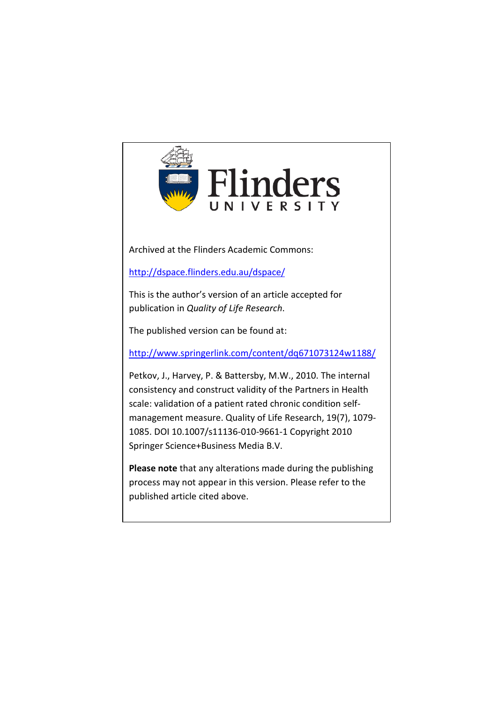

Archived at the Flinders Academic Commons:

<http://dspace.flinders.edu.au/dspace/>

This is the author's version of an article accepted for publication in *Quality of Life Research*.

The published version can be found at:

<http://www.springerlink.com/content/dq671073124w1188/>

Petkov, J., Harvey, P. & Battersby, M.W., 2010. The internal consistency and construct validity of the Partners in Health scale: validation of a patient rated chronic condition selfmanagement measure. Quality of Life Research, 19(7), 1079- 1085. DOI 10.1007/s11136-010-9661-1 Copyright 2010 Springer Science+Business Media B.V.

**Please note** that any alterations made during the publishing process may not appear in this version. Please refer to the published article cited above.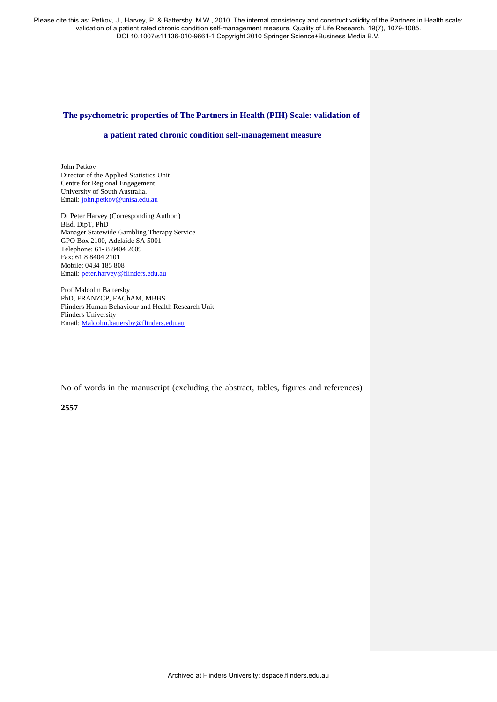## **The psychometric properties of The Partners in Health (PIH) Scale: validation of**

## **a patient rated chronic condition self-management measure**

John Petkov Director of the Applied Statistics Unit Centre for Regional Engagement University of South Australia. Email: [john.petkov@unisa.edu.au](mailto:john.petkov@unisa.edu.au)

Dr Peter Harvey (Corresponding Author ) BEd, DipT, PhD Manager Statewide Gambling Therapy Service GPO Box 2100, Adelaide SA 5001 Telephone: 61- 8 8404 2609 Fax: 61 8 8404 2101 Mobile: 0434 185 808 Email: [peter.harvey@flinders.edu.au](mailto:peter.harvey@flinders.edu.au)

Prof Malcolm Battersby PhD, FRANZCP, FAChAM, MBBS Flinders Human Behaviour and Health Research Unit Flinders University Email: [Malcolm.battersby@flinders.edu.au](mailto:Malcolm.battersby@flinders.edu.au) 

No of words in the manuscript (excluding the abstract, tables, figures and references)

**2557**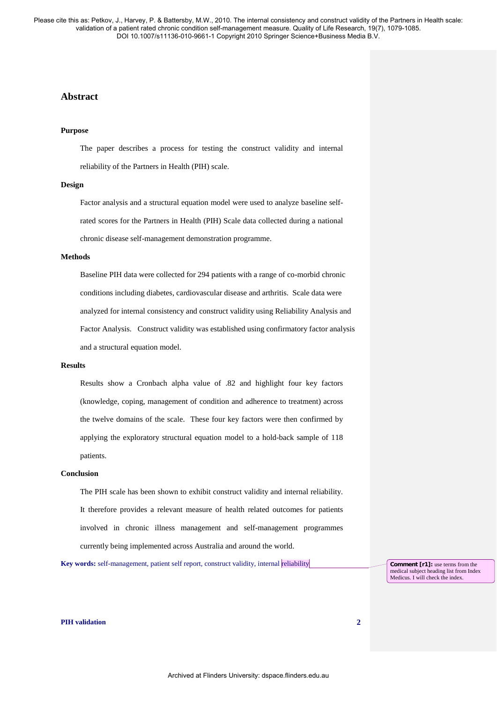# **Abstract**

#### **Purpose**

The paper describes a process for testing the construct validity and internal reliability of the Partners in Health (PIH) scale.

#### **Design**

Factor analysis and a structural equation model were used to analyze baseline selfrated scores for the Partners in Health (PIH) Scale data collected during a national chronic disease self-management demonstration programme.

### **Methods**

Baseline PIH data were collected for 294 patients with a range of co-morbid chronic conditions including diabetes, cardiovascular disease and arthritis. Scale data were analyzed for internal consistency and construct validity using Reliability Analysis and Factor Analysis. Construct validity was established using confirmatory factor analysis and a structural equation model.

### **Results**

Results show a Cronbach alpha value of .82 and highlight four key factors (knowledge, coping, management of condition and adherence to treatment) across the twelve domains of the scale. These four key factors were then confirmed by applying the exploratory structural equation model to a hold-back sample of 118 patients.

## **Conclusion**

The PIH scale has been shown to exhibit construct validity and internal reliability. It therefore provides a relevant measure of health related outcomes for patients involved in chronic illness management and self-management programmes currently being implemented across Australia and around the world.

**Key words:** self-management, patient self report, construct validity, internal reliability

**Comment [r1]:** use terms from the medical subject heading list from Index Medicus. I will check the index.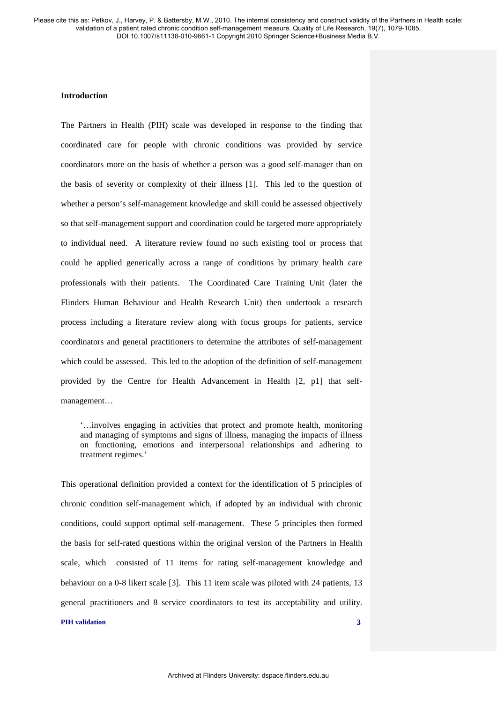## **Introduction**

The Partners in Health (PIH) scale was developed in response to the finding that coordinated care for people with chronic conditions was provided by service coordinators more on the basis of whether a person was a good self-manager than on the basis of severity or complexity of their illness [1]. This led to the question of whether a person's self-management knowledge and skill could be assessed objectively so that self-management support and coordination could be targeted more appropriately to individual need. A literature review found no such existing tool or process that could be applied generically across a range of conditions by primary health care professionals with their patients. The Coordinated Care Training Unit (later the Flinders Human Behaviour and Health Research Unit) then undertook a research process including a literature review along with focus groups for patients, service coordinators and general practitioners to determine the attributes of self-management which could be assessed. This led to the adoption of the definition of self-management provided by the Centre for Health Advancement in Health [2, p1] that selfmanagement…

'…involves engaging in activities that protect and promote health, monitoring and managing of symptoms and signs of illness, managing the impacts of illness on functioning, emotions and interpersonal relationships and adhering to treatment regimes.'

This operational definition provided a context for the identification of 5 principles of chronic condition self-management which, if adopted by an individual with chronic conditions, could support optimal self-management. These 5 principles then formed the basis for self-rated questions within the original version of the Partners in Health scale, which consisted of 11 items for rating self-management knowledge and behaviour on a 0-8 likert scale [3]. This 11 item scale was piloted with 24 patients, 13 general practitioners and 8 service coordinators to test its acceptability and utility.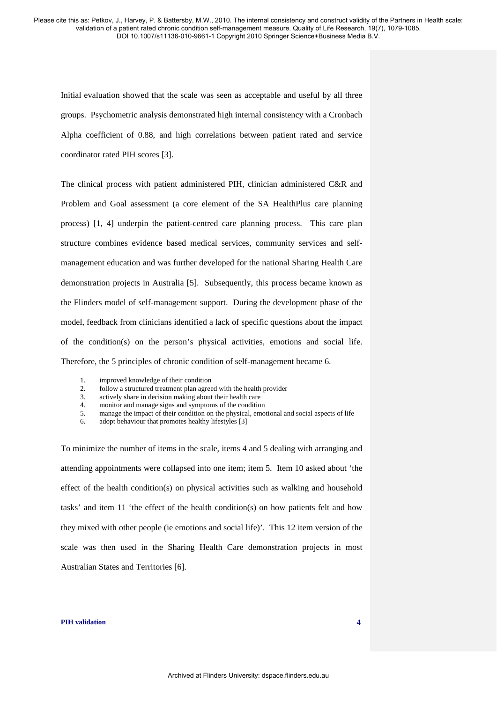Initial evaluation showed that the scale was seen as acceptable and useful by all three groups. Psychometric analysis demonstrated high internal consistency with a Cronbach Alpha coefficient of 0.88, and high correlations between patient rated and service coordinator rated PIH scores [3].

The clinical process with patient administered PIH, clinician administered C&R and Problem and Goal assessment (a core element of the SA HealthPlus care planning process) [1, 4] underpin the patient-centred care planning process. This care plan structure combines evidence based medical services, community services and selfmanagement education and was further developed for the national Sharing Health Care demonstration projects in Australia [5]. Subsequently, this process became known as the Flinders model of self-management support. During the development phase of the model, feedback from clinicians identified a lack of specific questions about the impact of the condition(s) on the person's physical activities, emotions and social life. Therefore, the 5 principles of chronic condition of self-management became 6.

- 1. improved knowledge of their condition<br>2. follow a structured treatment plan agree
- follow a structured treatment plan agreed with the health provider
- 3. actively share in decision making about their health care
- 4. monitor and manage signs and symptoms of the condition
- 5. manage the impact of their condition on the physical, emotional and social aspects of life
- 6. adopt behaviour that promotes healthy lifestyles [3]

To minimize the number of items in the scale, items 4 and 5 dealing with arranging and attending appointments were collapsed into one item; item 5. Item 10 asked about 'the effect of the health condition(s) on physical activities such as walking and household tasks' and item 11 'the effect of the health condition(s) on how patients felt and how they mixed with other people (ie emotions and social life)'. This 12 item version of the scale was then used in the Sharing Health Care demonstration projects in most Australian States and Territories [6].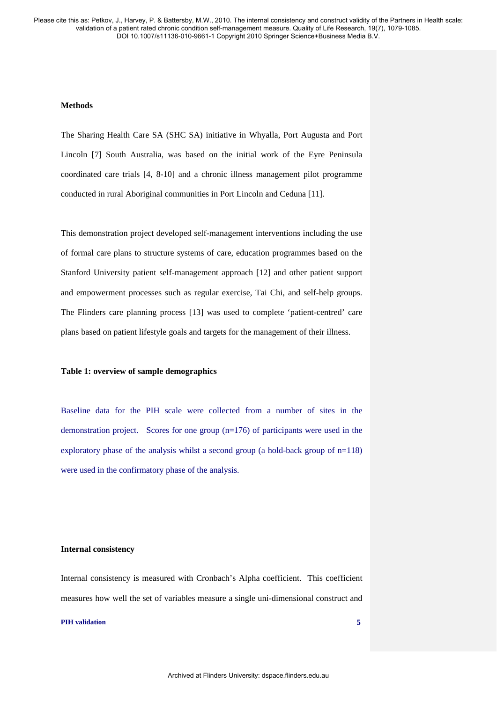## **Methods**

The Sharing Health Care SA (SHC SA) initiative in Whyalla, Port Augusta and Port Lincoln [7] South Australia, was based on the initial work of the Eyre Peninsula coordinated care trials [4, 8-10] and a chronic illness management pilot programme conducted in rural Aboriginal communities in Port Lincoln and Ceduna [11].

This demonstration project developed self-management interventions including the use of formal care plans to structure systems of care, education programmes based on the Stanford University patient self-management approach [12] and other patient support and empowerment processes such as regular exercise, Tai Chi, and self-help groups. The Flinders care planning process [13] was used to complete 'patient-centred' care plans based on patient lifestyle goals and targets for the management of their illness.

## **Table 1: overview of sample demographics**

Baseline data for the PIH scale were collected from a number of sites in the demonstration project. Scores for one group  $(n=176)$  of participants were used in the exploratory phase of the analysis whilst a second group (a hold-back group of  $n=118$ ) were used in the confirmatory phase of the analysis.

### **Internal consistency**

Internal consistency is measured with Cronbach's Alpha coefficient. This coefficient measures how well the set of variables measure a single uni-dimensional construct and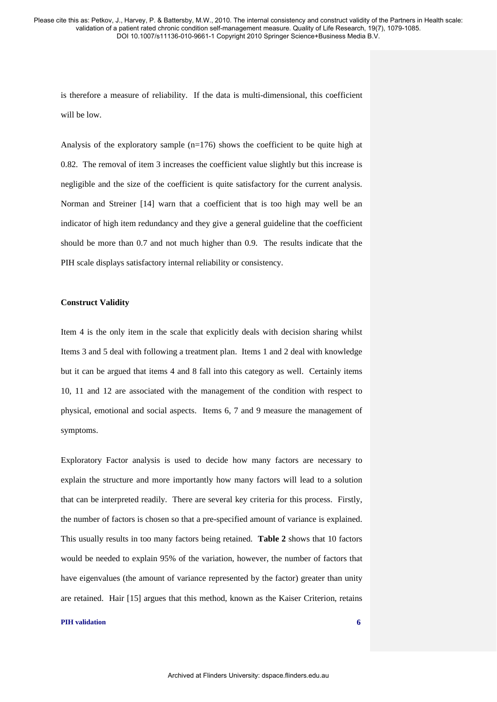is therefore a measure of reliability. If the data is multi-dimensional, this coefficient will be low.

Analysis of the exploratory sample  $(n=176)$  shows the coefficient to be quite high at 0.82. The removal of item 3 increases the coefficient value slightly but this increase is negligible and the size of the coefficient is quite satisfactory for the current analysis. Norman and Streiner [14] warn that a coefficient that is too high may well be an indicator of high item redundancy and they give a general guideline that the coefficient should be more than 0.7 and not much higher than 0.9. The results indicate that the PIH scale displays satisfactory internal reliability or consistency.

### **Construct Validity**

Item 4 is the only item in the scale that explicitly deals with decision sharing whilst Items 3 and 5 deal with following a treatment plan. Items 1 and 2 deal with knowledge but it can be argued that items 4 and 8 fall into this category as well. Certainly items 10, 11 and 12 are associated with the management of the condition with respect to physical, emotional and social aspects. Items 6, 7 and 9 measure the management of symptoms.

Exploratory Factor analysis is used to decide how many factors are necessary to explain the structure and more importantly how many factors will lead to a solution that can be interpreted readily. There are several key criteria for this process. Firstly, the number of factors is chosen so that a pre-specified amount of variance is explained. This usually results in too many factors being retained. **Table 2** shows that 10 factors would be needed to explain 95% of the variation, however, the number of factors that have eigenvalues (the amount of variance represented by the factor) greater than unity are retained. Hair [15] argues that this method, known as the Kaiser Criterion, retains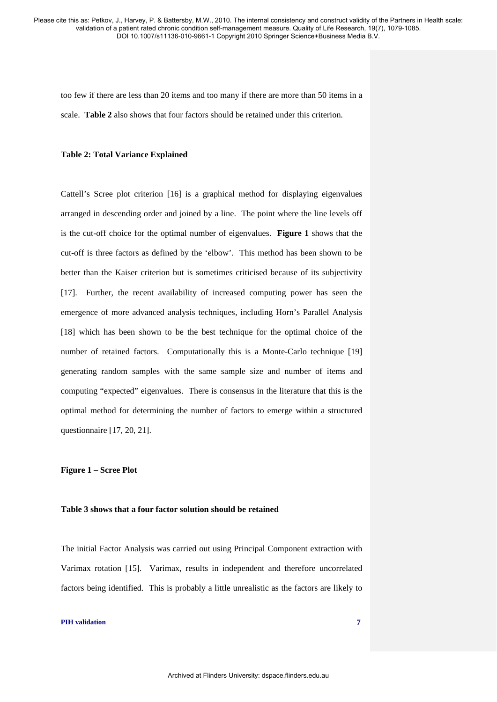too few if there are less than 20 items and too many if there are more than 50 items in a scale. **Table 2** also shows that four factors should be retained under this criterion.

## **Table 2: Total Variance Explained**

Cattell's Scree plot criterion [16] is a graphical method for displaying eigenvalues arranged in descending order and joined by a line. The point where the line levels off is the cut-off choice for the optimal number of eigenvalues. **Figure 1** shows that the cut-off is three factors as defined by the 'elbow'. This method has been shown to be better than the Kaiser criterion but is sometimes criticised because of its subjectivity [17]. Further, the recent availability of increased computing power has seen the emergence of more advanced analysis techniques, including Horn's Parallel Analysis [18] which has been shown to be the best technique for the optimal choice of the number of retained factors. Computationally this is a Monte-Carlo technique [19] generating random samples with the same sample size and number of items and computing "expected" eigenvalues. There is consensus in the literature that this is the optimal method for determining the number of factors to emerge within a structured questionnaire [17, 20, 21].

## **Figure 1 – Scree Plot**

### **Table 3 shows that a four factor solution should be retained**

The initial Factor Analysis was carried out using Principal Component extraction with Varimax rotation [15]. Varimax, results in independent and therefore uncorrelated factors being identified. This is probably a little unrealistic as the factors are likely to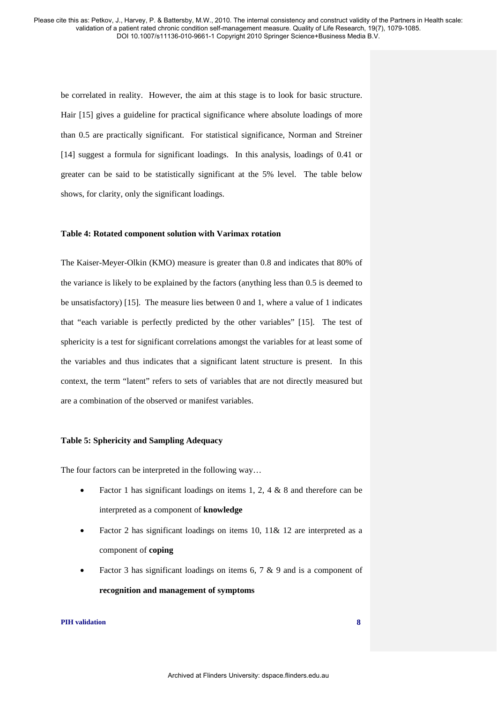be correlated in reality. However, the aim at this stage is to look for basic structure. Hair [15] gives a guideline for practical significance where absolute loadings of more than 0.5 are practically significant. For statistical significance, Norman and Streiner [14] suggest a formula for significant loadings. In this analysis, loadings of 0.41 or greater can be said to be statistically significant at the 5% level. The table below shows, for clarity, only the significant loadings.

## **Table 4: Rotated component solution with Varimax rotation**

The Kaiser-Meyer-Olkin (KMO) measure is greater than 0.8 and indicates that 80% of the variance is likely to be explained by the factors (anything less than 0.5 is deemed to be unsatisfactory) [15]. The measure lies between 0 and 1, where a value of 1 indicates that "each variable is perfectly predicted by the other variables" [15]. The test of sphericity is a test for significant correlations amongst the variables for at least some of the variables and thus indicates that a significant latent structure is present. In this context, the term "latent" refers to sets of variables that are not directly measured but are a combination of the observed or manifest variables.

### **Table 5: Sphericity and Sampling Adequacy**

The four factors can be interpreted in the following way…

- Factor 1 has significant loadings on items 1, 2, 4  $\&$  8 and therefore can be interpreted as a component of **knowledge**
- Factor 2 has significant loadings on items 10, 11& 12 are interpreted as a component of **coping**
- Factor 3 has significant loadings on items 6, 7  $\&$  9 and is a component of **recognition and management of symptoms**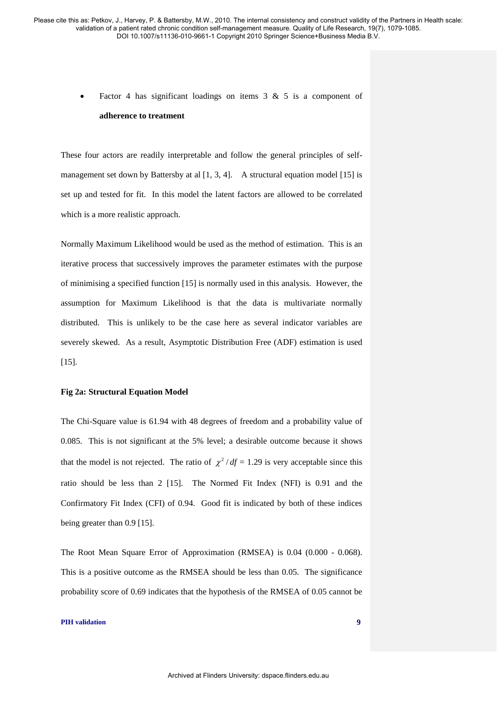Factor 4 has significant loadings on items  $3 \& 5$  is a component of **adherence to treatment**

These four actors are readily interpretable and follow the general principles of selfmanagement set down by Battersby at al  $[1, 3, 4]$ . A structural equation model  $[15]$  is set up and tested for fit. In this model the latent factors are allowed to be correlated which is a more realistic approach.

Normally Maximum Likelihood would be used as the method of estimation. This is an iterative process that successively improves the parameter estimates with the purpose of minimising a specified function [15] is normally used in this analysis. However, the assumption for Maximum Likelihood is that the data is multivariate normally distributed. This is unlikely to be the case here as several indicator variables are severely skewed. As a result, Asymptotic Distribution Free (ADF) estimation is used [15].

## **Fig 2a: Structural Equation Model**

The Chi-Square value is 61.94 with 48 degrees of freedom and a probability value of 0.085. This is not significant at the 5% level; a desirable outcome because it shows that the model is not rejected. The ratio of  $\chi^2/df = 1.29$  is very acceptable since this ratio should be less than 2 [15]. The Normed Fit Index (NFI) is 0.91 and the Confirmatory Fit Index (CFI) of 0.94. Good fit is indicated by both of these indices being greater than 0.9 [15].

The Root Mean Square Error of Approximation (RMSEA) is 0.04 (0.000 - 0.068). This is a positive outcome as the RMSEA should be less than 0.05. The significance probability score of 0.69 indicates that the hypothesis of the RMSEA of 0.05 cannot be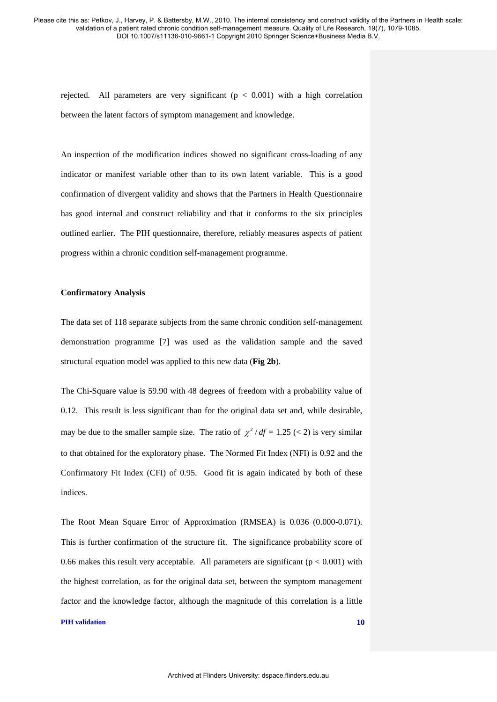rejected. All parameters are very significant  $(p < 0.001)$  with a high correlation between the latent factors of symptom management and knowledge.

An inspection of the modification indices showed no significant cross-loading of any indicator or manifest variable other than to its own latent variable. This is a good confirmation of divergent validity and shows that the Partners in Health Questionnaire has good internal and construct reliability and that it conforms to the six principles outlined earlier. The PIH questionnaire, therefore, reliably measures aspects of patient progress within a chronic condition self-management programme.

## **Confirmatory Analysis**

The data set of 118 separate subjects from the same chronic condition self-management demonstration programme [7] was used as the validation sample and the saved structural equation model was applied to this new data (**Fig 2b**).

The Chi-Square value is 59.90 with 48 degrees of freedom with a probability value of 0.12. This result is less significant than for the original data set and, while desirable, may be due to the smaller sample size. The ratio of  $\chi^2 / df = 1.25 \, (< 2)$  is very similar to that obtained for the exploratory phase. The Normed Fit Index (NFI) is 0.92 and the Confirmatory Fit Index (CFI) of 0.95. Good fit is again indicated by both of these indices.

The Root Mean Square Error of Approximation (RMSEA) is 0.036 (0.000-0.071). This is further confirmation of the structure fit. The significance probability score of 0.66 makes this result very acceptable. All parameters are significant ( $p < 0.001$ ) with the highest correlation, as for the original data set, between the symptom management factor and the knowledge factor, although the magnitude of this correlation is a little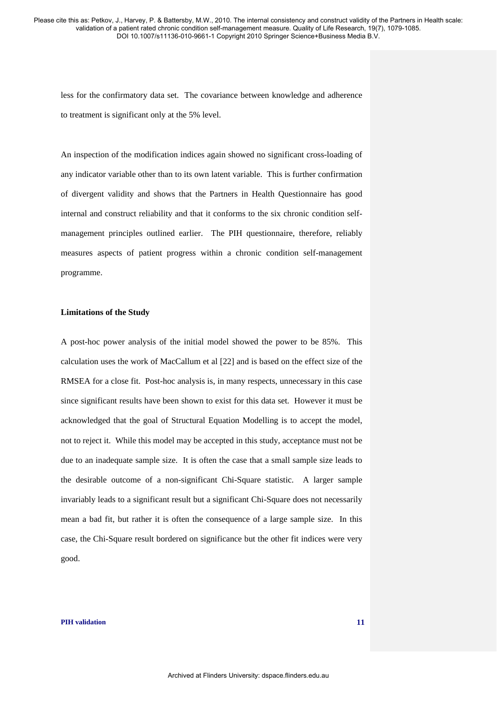less for the confirmatory data set. The covariance between knowledge and adherence to treatment is significant only at the 5% level.

An inspection of the modification indices again showed no significant cross-loading of any indicator variable other than to its own latent variable. This is further confirmation of divergent validity and shows that the Partners in Health Questionnaire has good internal and construct reliability and that it conforms to the six chronic condition selfmanagement principles outlined earlier. The PIH questionnaire, therefore, reliably measures aspects of patient progress within a chronic condition self-management programme.

## **Limitations of the Study**

A post-hoc power analysis of the initial model showed the power to be 85%. This calculation uses the work of MacCallum et al [22] and is based on the effect size of the RMSEA for a close fit. Post-hoc analysis is, in many respects, unnecessary in this case since significant results have been shown to exist for this data set. However it must be acknowledged that the goal of Structural Equation Modelling is to accept the model, not to reject it. While this model may be accepted in this study, acceptance must not be due to an inadequate sample size. It is often the case that a small sample size leads to the desirable outcome of a non-significant Chi-Square statistic. A larger sample invariably leads to a significant result but a significant Chi-Square does not necessarily mean a bad fit, but rather it is often the consequence of a large sample size. In this case, the Chi-Square result bordered on significance but the other fit indices were very good.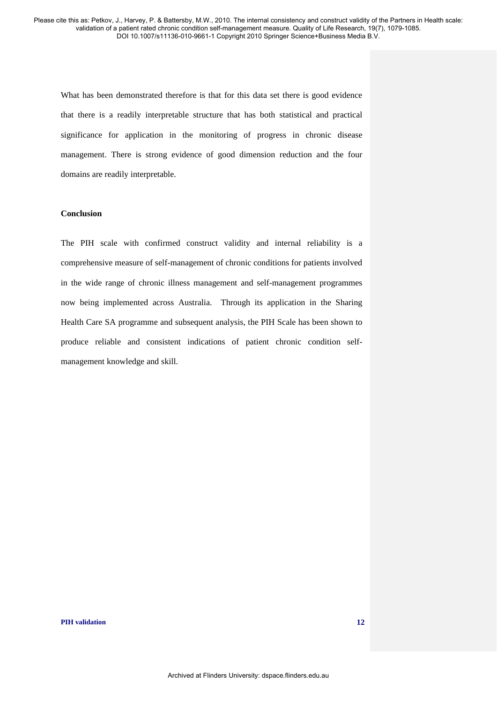What has been demonstrated therefore is that for this data set there is good evidence that there is a readily interpretable structure that has both statistical and practical significance for application in the monitoring of progress in chronic disease management. There is strong evidence of good dimension reduction and the four domains are readily interpretable.

# **Conclusion**

The PIH scale with confirmed construct validity and internal reliability is a comprehensive measure of self-management of chronic conditions for patients involved in the wide range of chronic illness management and self-management programmes now being implemented across Australia. Through its application in the Sharing Health Care SA programme and subsequent analysis, the PIH Scale has been shown to produce reliable and consistent indications of patient chronic condition selfmanagement knowledge and skill.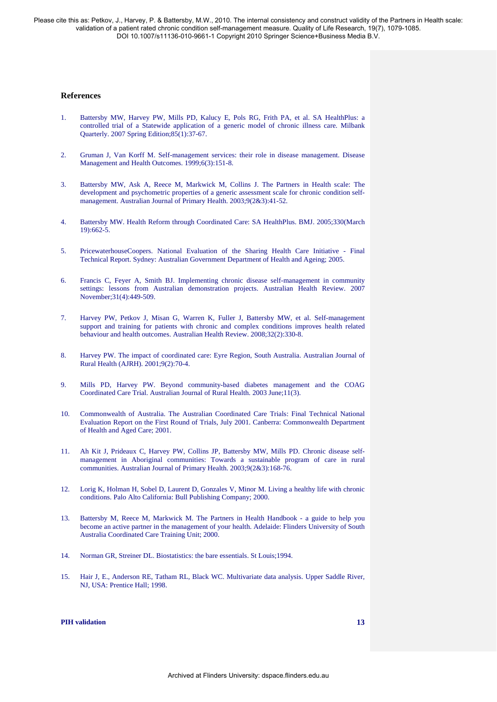### **References**

- 1. Battersby MW, Harvey PW, Mills PD, Kalucy E, Pols RG, Frith PA, et al. SA HealthPlus: a controlled trial of a Statewide application of a generic model of chronic illness care. Milbank Quarterly. 2007 Spring Edition;85(1):37-67.
- 2. Gruman J, Van Korff M. Self-management services: their role in disease management. Disease Management and Health Outcomes. 1999;6(3):151-8.
- 3. Battersby MW, Ask A, Reece M, Markwick M, Collins J. The Partners in Health scale: The development and psychometric properties of a generic assessment scale for chronic condition selfmanagement. Australian Journal of Primary Health. 2003;9(2&3):41-52.
- 4. Battersby MW. Health Reform through Coordinated Care: SA HealthPlus. BMJ. 2005;330(March 19):662-5.
- 5. PricewaterhouseCoopers. National Evaluation of the Sharing Health Care Initiative Final Technical Report. Sydney: Australian Government Department of Health and Ageing; 2005.
- 6. Francis C, Feyer A, Smith BJ. Implementing chronic disease self-management in community settings: lessons from Australian demonstration projects. Australian Health Review. 2007 November;31(4):449-509.
- 7. Harvey PW, Petkov J, Misan G, Warren K, Fuller J, Battersby MW, et al. Self-management support and training for patients with chronic and complex conditions improves health related behaviour and health outcomes. Australian Health Review. 2008;32(2):330-8.
- 8. Harvey PW. The impact of coordinated care: Eyre Region, South Australia. Australian Journal of Rural Health (AJRH). 2001;9(2):70-4.
- 9. Mills PD, Harvey PW. Beyond community-based diabetes management and the COAG Coordinated Care Trial. Australian Journal of Rural Health. 2003 June;11(3).
- 10. Commonwealth of Australia. The Australian Coordinated Care Trials: Final Technical National Evaluation Report on the First Round of Trials, July 2001. Canberra: Commonwealth Department of Health and Aged Care; 2001.
- 11. Ah Kit J, Prideaux C, Harvey PW, Collins JP, Battersby MW, Mills PD. Chronic disease selfmanagement in Aboriginal communities: Towards a sustainable program of care in rural communities. Australian Journal of Primary Health. 2003;9(2&3):168-76.
- 12. Lorig K, Holman H, Sobel D, Laurent D, Gonzales V, Minor M. Living a healthy life with chronic conditions. Palo Alto California: Bull Publishing Company; 2000.
- 13. Battersby M, Reece M, Markwick M. The Partners in Health Handbook a guide to help you become an active partner in the management of your health. Adelaide: Flinders University of South Australia Coordinated Care Training Unit; 2000.
- 14. Norman GR, Streiner DL. Biostatistics: the bare essentials. St Louis;1994.
- 15. Hair J, E., Anderson RE, Tatham RL, Black WC. Multivariate data analysis. Upper Saddle River, NJ, USA: Prentice Hall; 1998.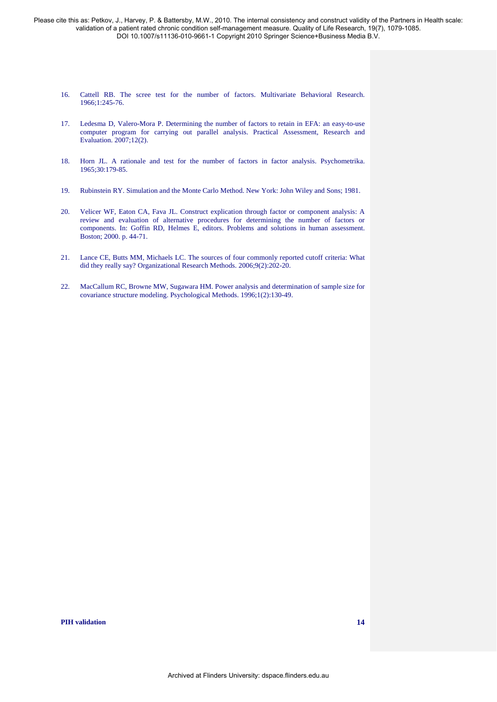- 16. Cattell RB. The scree test for the number of factors. Multivariate Behavioral Research. 1966;1:245-76.
- 17. Ledesma D, Valero-Mora P. Determining the number of factors to retain in EFA: an easy-to-use computer program for carrying out parallel analysis. Practical Assessment, Research and Evaluation. 2007;12(2).
- 18. Horn JL. A rationale and test for the number of factors in factor analysis. Psychometrika. 1965;30:179-85.
- 19. Rubinstein RY. Simulation and the Monte Carlo Method. New York: John Wiley and Sons; 1981.
- 20. Velicer WF, Eaton CA, Fava JL. Construct explication through factor or component analysis: A review and evaluation of alternative procedures for determining the number of factors or components. In: Goffin RD, Helmes E, editors. Problems and solutions in human assessment. Boston; 2000. p. 44-71.
- 21. Lance CE, Butts MM, Michaels LC. The sources of four commonly reported cutoff criteria: What did they really say? Organizational Research Methods. 2006;9(2):202-20.
- 22. MacCallum RC, Browne MW, Sugawara HM. Power analysis and determination of sample size for covariance structure modeling. Psychological Methods. 1996;1(2):130-49.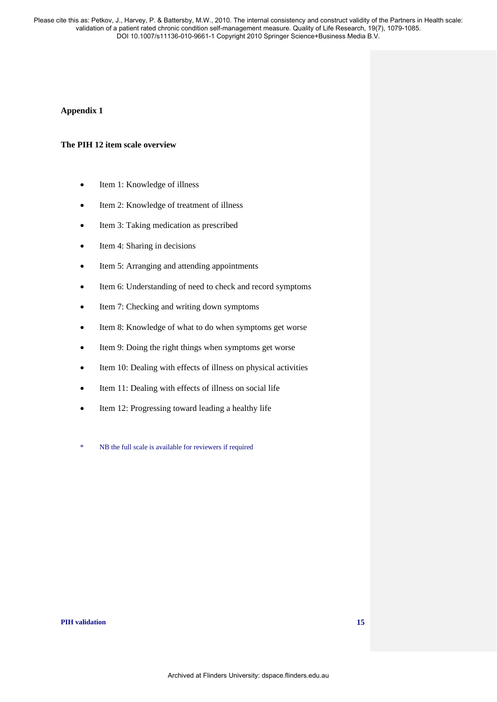# **Appendix 1**

## **The PIH 12 item scale overview**

- Item 1: Knowledge of illness
- Item 2: Knowledge of treatment of illness
- Item 3: Taking medication as prescribed
- Item 4: Sharing in decisions
- Item 5: Arranging and attending appointments
- Item 6: Understanding of need to check and record symptoms
- Item 7: Checking and writing down symptoms
- Item 8: Knowledge of what to do when symptoms get worse
- Item 9: Doing the right things when symptoms get worse
- Item 10: Dealing with effects of illness on physical activities
- Item 11: Dealing with effects of illness on social life
- Item 12: Progressing toward leading a healthy life
- \* NB the full scale is available for reviewers if required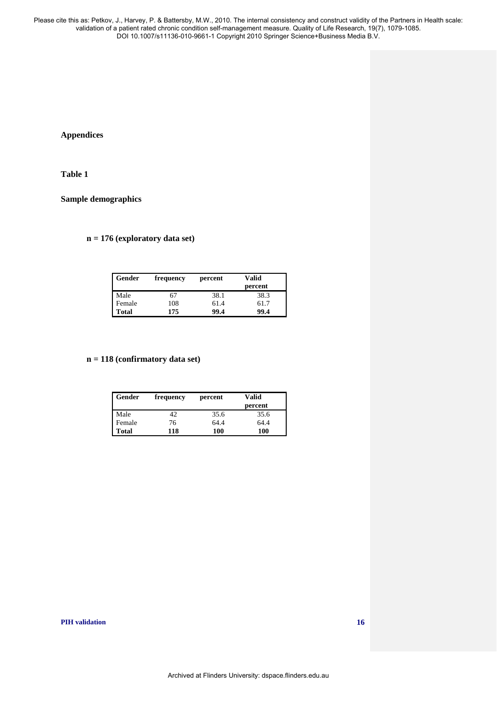# **Appendices**

# **Table 1**

# **Sample demographics**

# **n = 176 (exploratory data set)**

| Gender       | frequency | percent | Valid   |
|--------------|-----------|---------|---------|
|              |           |         | percent |
| Male         | 67        | 38.1    | 38.3    |
| Female       | 108       | 61.4    | 61.7    |
| <b>Total</b> | 175       | 99.4    | 99.4    |

## **n = 118 (confirmatory data set)**

| Gender | frequency | percent | Valid<br>percent |
|--------|-----------|---------|------------------|
| Male   | 42        | 35.6    | 35.6             |
| Female | 76        | 64.4    | 64.4             |
| Total  | 118       | 100     | 100              |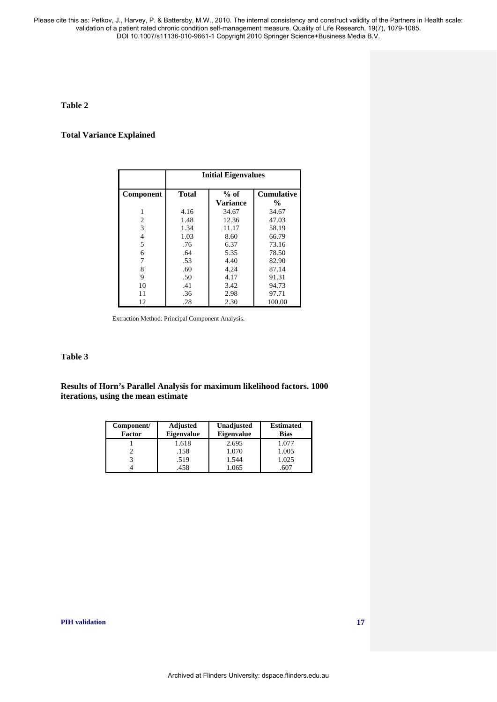# **Table 2**

# **Total Variance Explained**

|                | <b>Initial Eigenvalues</b>                  |                 |                    |  |  |
|----------------|---------------------------------------------|-----------------|--------------------|--|--|
| Component      | <b>Cumulative</b><br><b>Total</b><br>$%$ of |                 |                    |  |  |
|                |                                             | <b>Variance</b> | $\frac{0}{\alpha}$ |  |  |
| 1              | 4.16                                        | 34.67           | 34.67              |  |  |
| $\overline{c}$ | 1.48                                        | 12.36<br>47.03  |                    |  |  |
| 3              | 1.34<br>11.17<br>58.19                      |                 |                    |  |  |
| $\overline{4}$ | 1.03                                        | 8.60<br>66.79   |                    |  |  |
| 5              | .76                                         | 6.37<br>73.16   |                    |  |  |
| 6              | .64                                         | 5.35<br>78.50   |                    |  |  |
| 7              | .53                                         | 4.40            | 82.90              |  |  |
| 8              | .60                                         | 4.24<br>87.14   |                    |  |  |
| 9              | .50                                         | 4.17<br>91.31   |                    |  |  |
| 10             | .41                                         | 3.42<br>94.73   |                    |  |  |
| 11             | .36                                         | 2.98            | 97.71              |  |  |
| 12             | .28                                         | 2.30            | 100.00             |  |  |

Extraction Method: Principal Component Analysis.

# **Table 3**

**Results of Horn's Parallel Analysis for maximum likelihood factors. 1000 iterations, using the mean estimate**

| Component/<br><b>Factor</b> | <b>Adjusted</b><br><b>Eigenvalue</b> | Unadjusted<br><b>Eigenvalue</b> | <b>Estimated</b><br><b>Bias</b> |
|-----------------------------|--------------------------------------|---------------------------------|---------------------------------|
|                             | 1.618                                | 2.695                           | 1.077                           |
|                             | .158                                 | 1.070                           | 1.005                           |
|                             | .519                                 | 1.544                           | 1.025                           |
|                             | .458                                 | .065                            |                                 |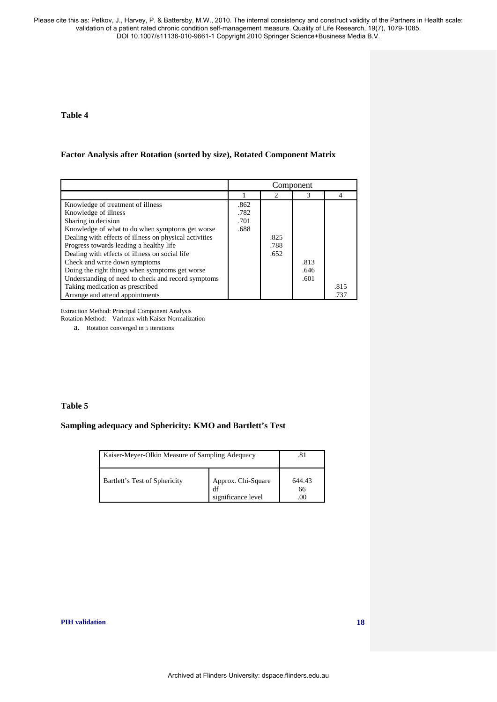# **Table 4**

## **Factor Analysis after Rotation (sorted by size), Rotated Component Matrix**

|                                                        | Component |      |      |      |
|--------------------------------------------------------|-----------|------|------|------|
|                                                        |           |      | 3    | 4    |
| Knowledge of treatment of illness                      | .862      |      |      |      |
| Knowledge of illness                                   | .782      |      |      |      |
| Sharing in decision                                    | .701      |      |      |      |
| Knowledge of what to do when symptoms get worse        | .688      |      |      |      |
| Dealing with effects of illness on physical activities |           | .825 |      |      |
| Progress towards leading a healthy life                |           | .788 |      |      |
| Dealing with effects of illness on social life         |           | .652 |      |      |
| Check and write down symptoms                          |           |      | .813 |      |
| Doing the right things when symptoms get worse         |           |      | .646 |      |
| Understanding of need to check and record symptoms     |           |      | .601 |      |
| Taking medication as prescribed                        |           |      |      | .815 |
| Arrange and attend appointments                        |           |      |      | .737 |

Extraction Method: Principal Component Analysis

Rotation Method: Varimax with Kaiser Normalization

a. Rotation converged in 5 iterations

# **Table 5**

# **Sampling adequacy and Sphericity: KMO and Bartlett's Test**

| Kaiser-Meyer-Olkin Measure of Sampling Adequacy | .81                                            |              |
|-------------------------------------------------|------------------------------------------------|--------------|
| Bartlett's Test of Sphericity                   | Approx. Chi-Square<br>df<br>significance level | 644.43<br>66 |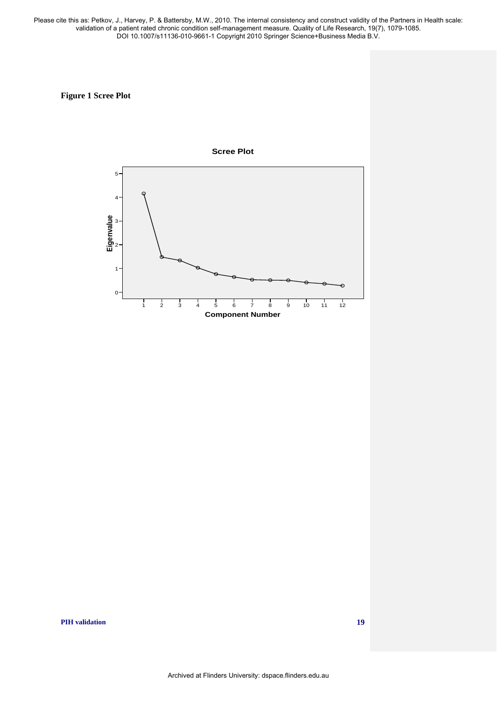# **Figure 1 Scree Plot**

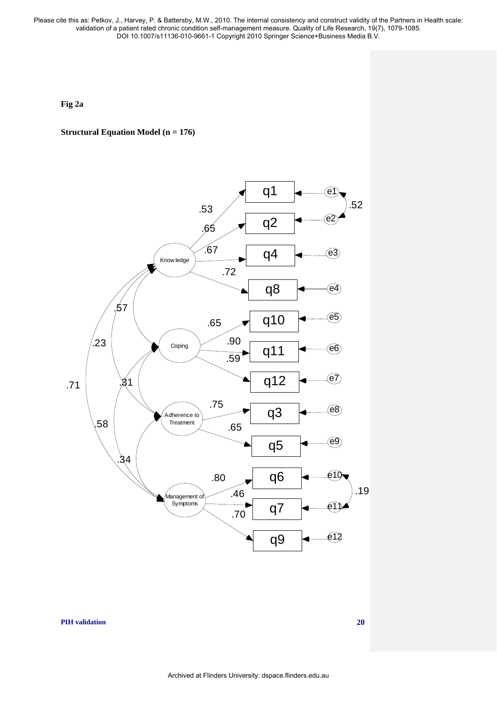**Fig 2a** 

# **Structural Equation Model (n = 176)**